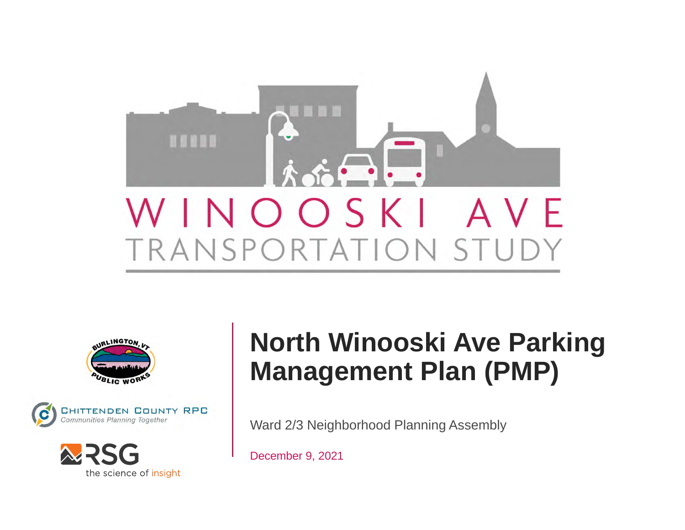







## **North Winooski Ave Parking Management Plan (PMP)**

Ward 2/3 Neighborhood Planning Assembly

December 9, 2021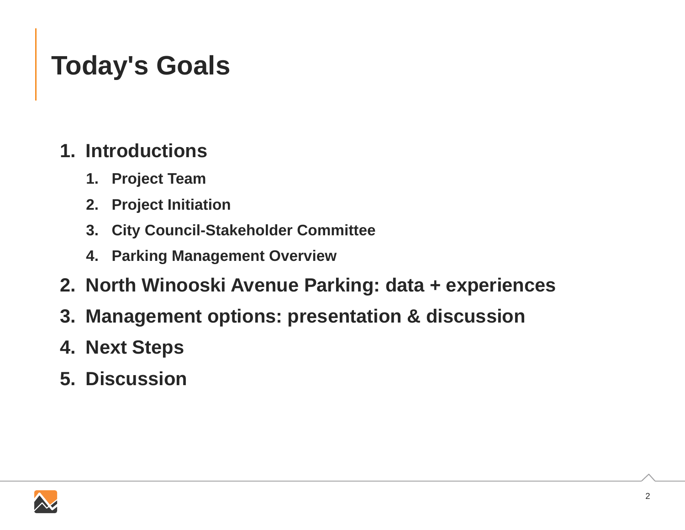## **Today's Goals**

### **1. Introductions**

- **1. Project Team**
- **2. Project Initiation**
- **3. City Council-Stakeholder Committee**
- **4. Parking Management Overview**
- **2. North Winooski Avenue Parking: data + experiences**
- **3. Management options: presentation & discussion**
- **4. Next Steps**
- **5. Discussion**

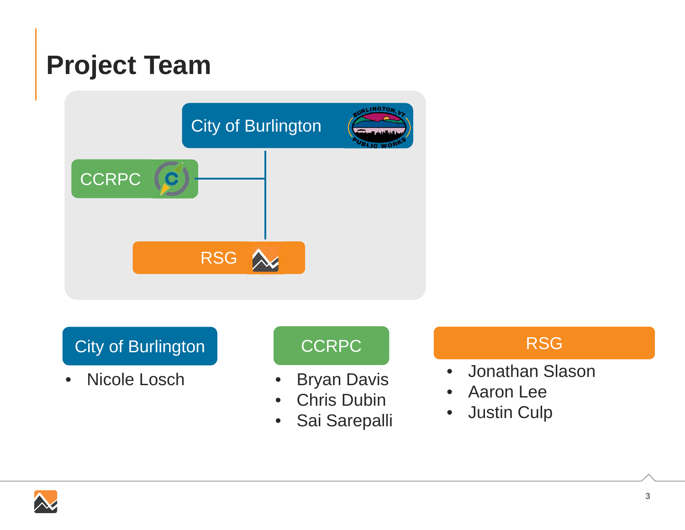## **Project Team**



City of Burlington

 $\bullet$ Nicole Losch

### **CCRPC**

- •Bryan Davis
- •Chris Dubin
- •Sai Sarepalli

### **RSG**

- $\bullet$ Jonathan Slason
- •Aaron Lee
- $\bullet$ Justin Culp

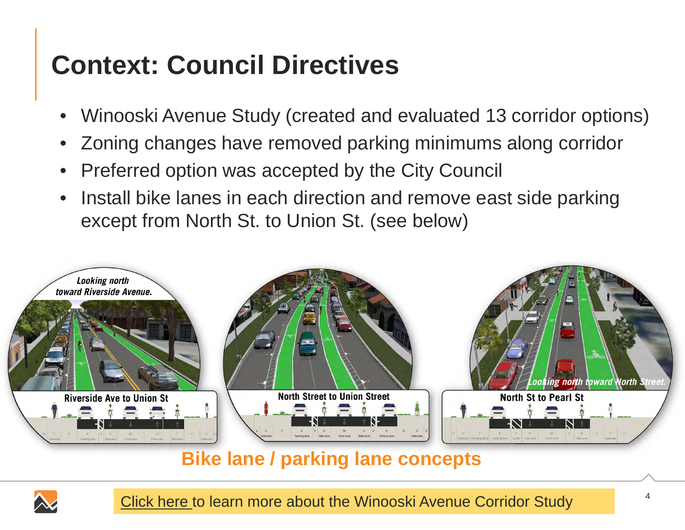# **Context: Council Directives**

- •Winooski Avenue Study (created and evaluated 13 corridor options)
- •Zoning changes have removed parking minimums along corridor
- •Preferred option was accepted by the City Council
- • Install bike lanes in each direction and remove east side parking except from North St. to Union St. (see below)



### **Bike lane / parking lane concepts**



Click here to learn more about the Winooski Avenue Corridor Study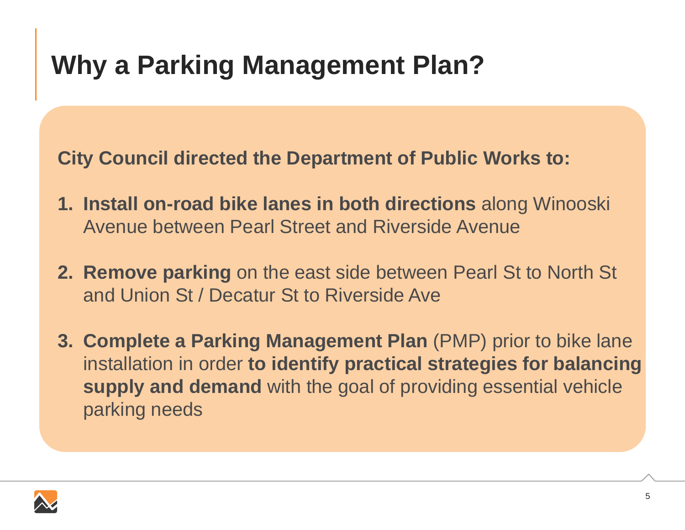## **Why a Parking Management Plan?**

**City Council directed the Department of Public Works to:**

- **1. Install on-road bike lanes in both directions** along Winooski Avenue between Pearl Street and Riverside Avenue
- **2. Remove parking** on the east side between Pearl St to North St and Union St / Decatur St to Riverside Ave
- **3. Complete a Parking Management Plan** (PMP) prior to bike lane installation in order **to identify practical strategies for balancing supply and demand** with the goal of providing essential vehicle parking needs

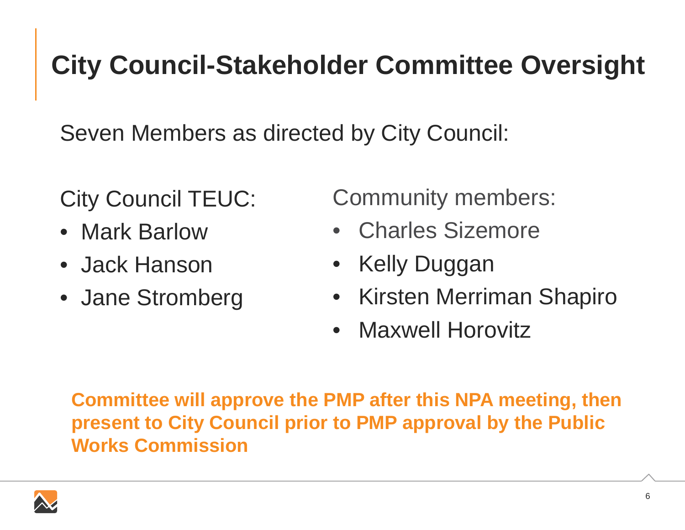## **City Council-Stakeholder Committee Oversight**

Seven Members as directed by City Council:

City Council TEUC:

- Mark Barlow
- Jack Hanson
- Jane Stromberg

Community members:

- Charles Sizemore
- Kelly Duggan
- Kirsten Merriman Shapiro
- Maxwell Horovitz

**Committee will approve the PMP after this NPA meeting, then present to City Council prior to PMP approval by the Public Works Commission**

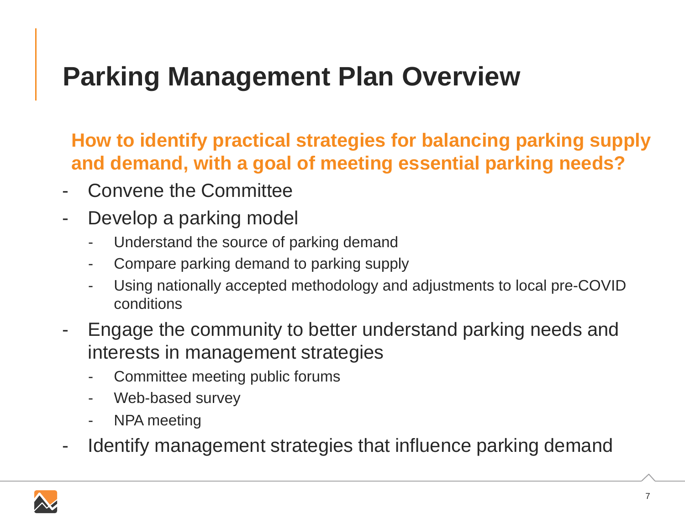## **Parking Management Plan Overview**

**How to identify practical strategies for balancing parking supply and demand, with a goal of meeting essential parking needs?**

- -Convene the Committee
- - Develop a parking model
	- Understand the source of parking demand
	- -Compare parking demand to parking supply
	- Using nationally accepted methodology and adjustments to local pre-COVID conditions
- - Engage the community to better understand parking needs and interests in management strategies
	- Committee meeting public forums
	- -Web-based survey
	- -NPA meeting
- -Identify management strategies that influence parking demand

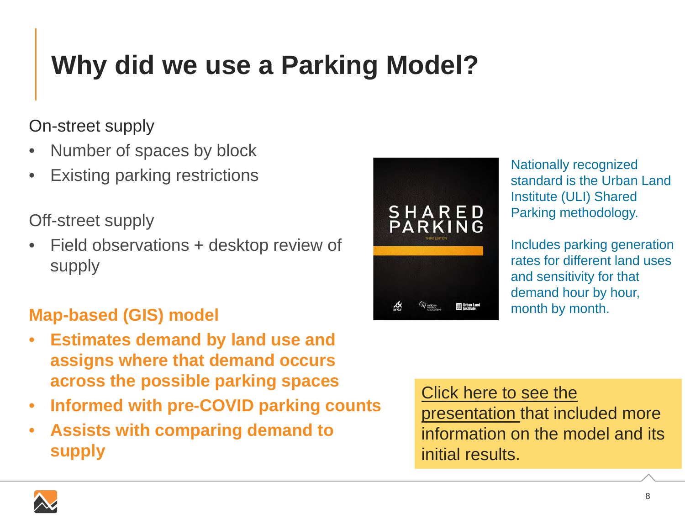# **Why did we use a Parking Model?**

### On-street supply

- •Number of spaces by block
- •Existing parking restrictions

Off-street supply

• Field observations + desktop review of supply

### **Map-based (GIS) model**

- • **Estimates demand by land use and assigns where that demand occurs across the possible parking spaces**
- •**Informed with pre-COVID parking counts**
- • **Assists with comparing demand to supply**



Nationally recognized standard is the Urban Land Institute (ULI) Shared Parking methodology.

Includes parking generation rates for different land uses and sensitivity for that demand hour by hour, month by month.

Click here to see the presentation that included more information on the model and its initial results.

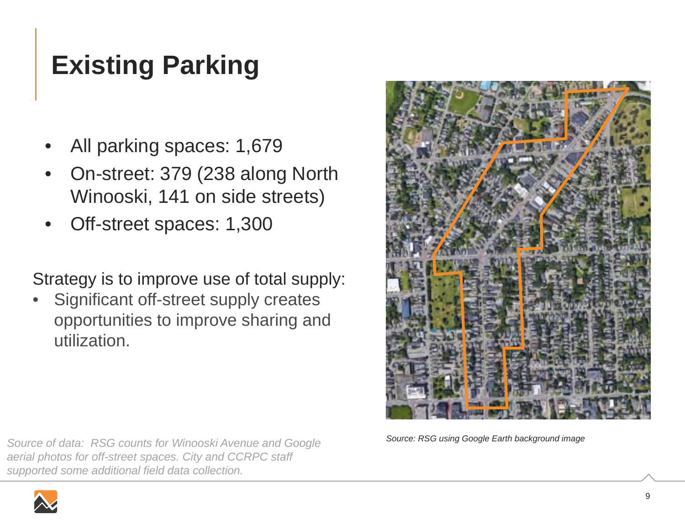# **Existing Parking**

- •All parking spaces: 1,679
- • On-street: 379 (238 along North Winooski, 141 on side streets)
- •Off-street spaces: 1,300

Strategy is to improve use of total supply:

• Significant off-street supply creates opportunities to improve sharing and utilization.





*Source: RSG using Google Earth background image*

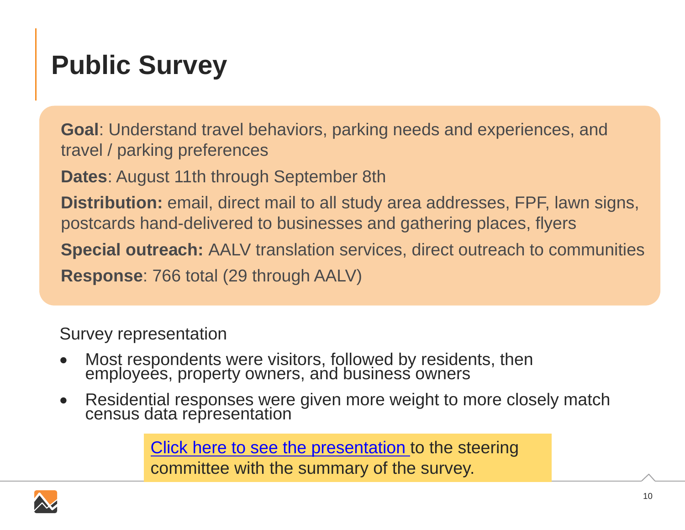## **Public Survey**

**Goal**: Understand travel behaviors, parking needs and experiences, and travel / parking preferences

**Dates**: August 11th through September 8th

**Distribution:** email, direct mail to all study area addresses, FPF, lawn signs, postcards hand-delivered to businesses and gathering places, flyers

**Special outreach:** AALV translation services, direct outreach to communities **Response**: 766 total (29 through AALV)

Survey representation

- $\bullet$ Most respondents were visitors, followed by residents, then employees, property owners, and business owners
- $\bullet$ Residential responses were given more weight to more closely match census data representation

Click here to see the presentation to the steering committee with the summary of the survey.

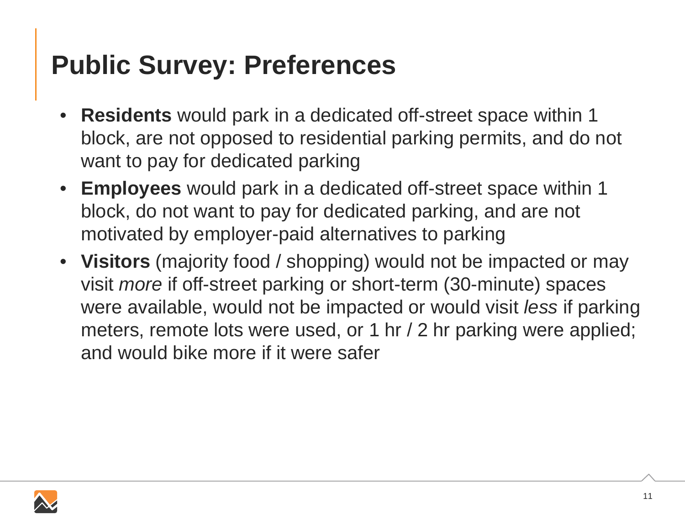## **Public Survey: Preferences**

- • **Residents** would park in a dedicated off-street space within 1 block, are not opposed to residential parking permits, and do not want to pay for dedicated parking
- **Employees** would park in a dedicated off-street space within 1 block, do not want to pay for dedicated parking, and are not motivated by employer-paid alternatives to parking
- **Visitors** (majority food / shopping) would not be impacted or may visit *more* if off-street parking or short-term (30-minute) spaces were available, would not be impacted or would visit *less* if parking meters, remote lots were used, or 1 hr / 2 hr parking were applied; and would bike more if it were safer

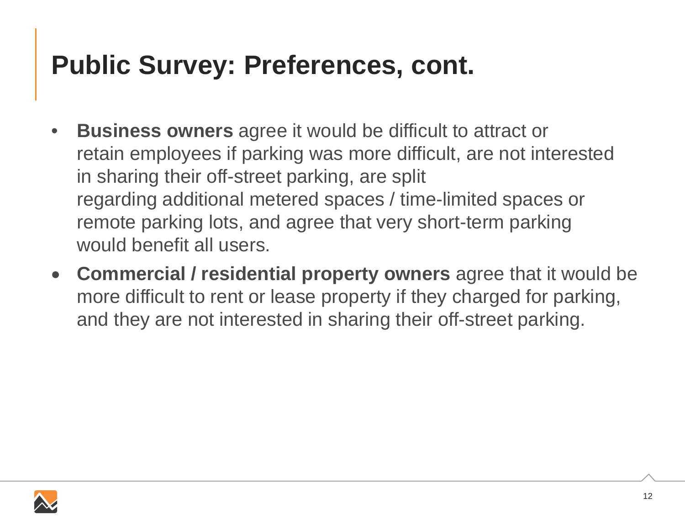## **Public Survey: Preferences, cont.**

- $\bullet$  **Business owners** agree it would be difficult to attract or retain employees if parking was more difficult, are not interested in sharing their off-street parking, are split regarding additional metered spaces / time-limited spaces or remote parking lots, and agree that very short-term parking would benefit all users.
- $\bullet$  **Commercial / residential property owners** agree that it would be more difficult to rent or lease property if they charged for parking, and they are not interested in sharing their off-street parking.

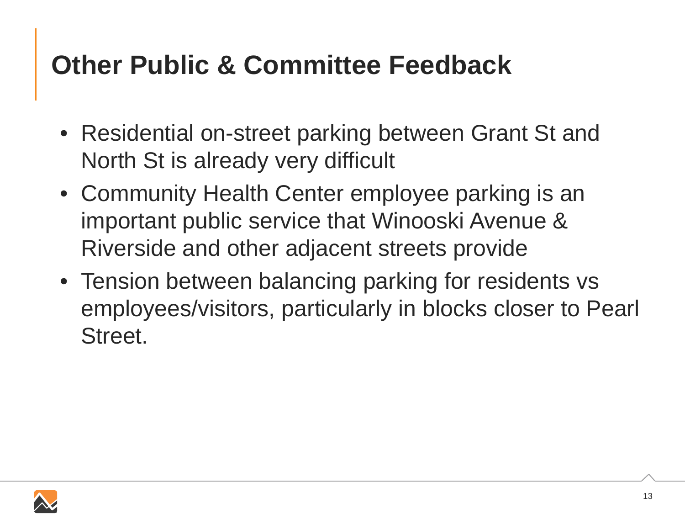## **Other Public & Committee Feedback**

- Residential on-street parking between Grant St and North St is already very difficult
- Community Health Center employee parking is an important public service that Winooski Avenue & Riverside and other adjacent streets provide
- Tension between balancing parking for residents vs employees/visitors, particularly in blocks closer to Pearl Street.

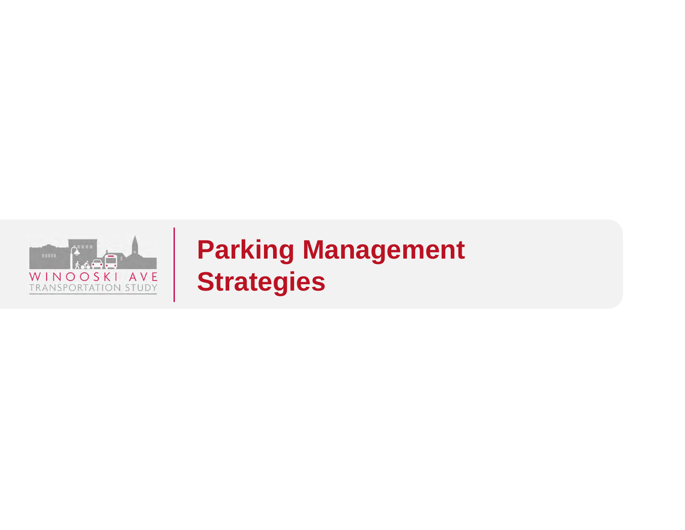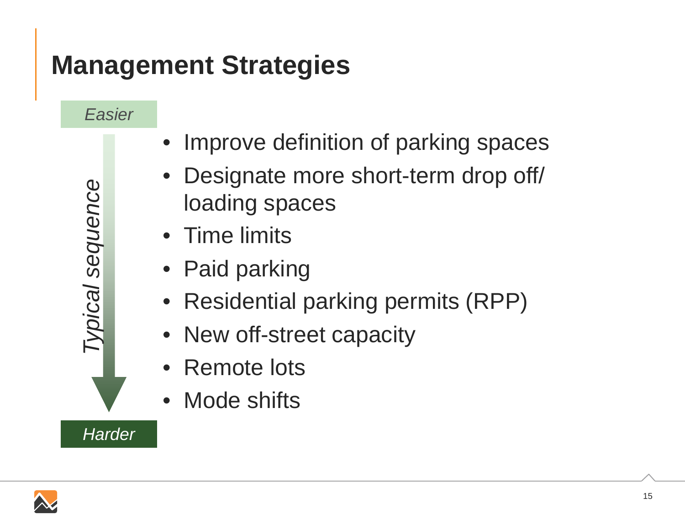### **Management Strategies**

*Easier*

*Typical sequence*

Typical sequence

- •Improve definition of parking spaces
- $\bullet$  Designate more short-term drop off/ loading spaces
- Time limits
- •Paid parking
- $\bullet$ Residential parking permits (RPP)
- New off-street capacity
- Remote lots
- Mode shifts

*Harder*

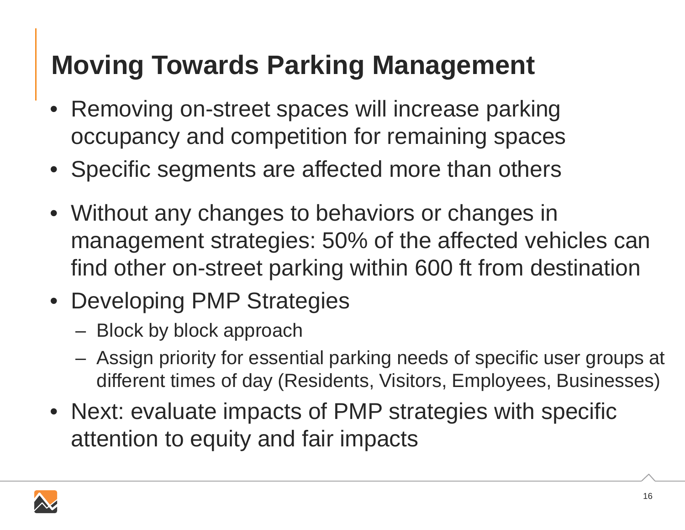## **Moving Towards Parking Management**

- • Removing on-street spaces will increase parking occupancy and competition for remaining spaces
- Specific segments are affected more than others
- Without any changes to behaviors or changes in management strategies: 50% of the affected vehicles can find other on-street parking within 600 ft from destination
- Developing PMP Strategies
	- Block by block approach
	- Assign priority for essential parking needs of specific user groups at different times of day (Residents, Visitors, Employees, Businesses)
- Next: evaluate impacts of PMP strategies with specific attention to equity and fair impacts

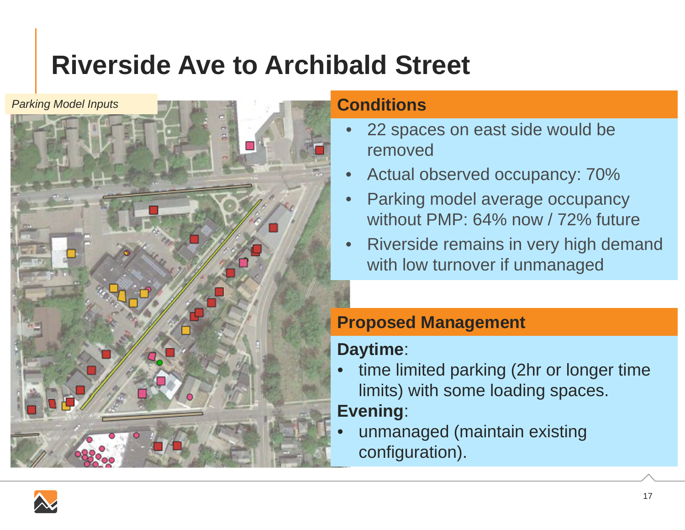## **Riverside Ave to Archibald Street**



#### **Conditions**

- • 22 spaces on east side would be removed
- •Actual observed occupancy: 70%
- • Parking model average occupancy without PMP: 64% now / 72% future
- • Riverside remains in very high demand with low turnover if unmanaged

### **Proposed Management**

### **Daytime**:

• time limited parking (2hr or longer time limits) with some loading spaces.

### **Evening**:

• unmanaged (maintain existing configuration).

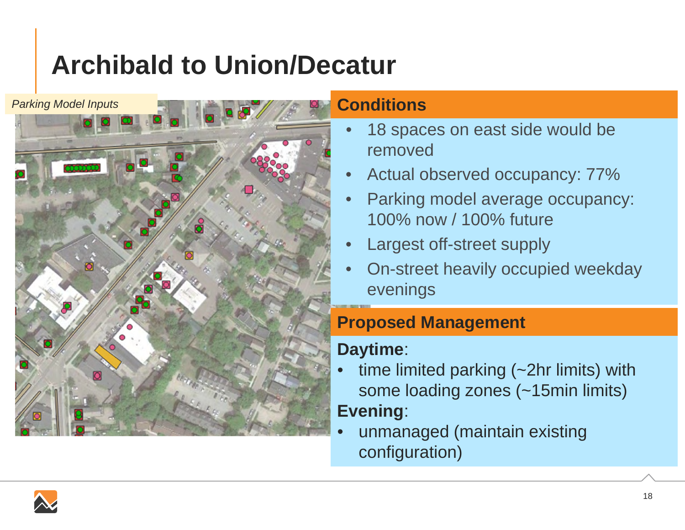# **Archibald to Union/Decatur**



#### **Conditions**

- • 18 spaces on east side would be removed
- •Actual observed occupancy: 77%
- • Parking model average occupancy: 100% now / 100% future
- •Largest off-street supply
- • On-street heavily occupied weekday evenings

### **Proposed Management**

### **Daytime**:

- • time limited parking (~2hr limits) with some loading zones (~15min limits) **Evening**:
- • unmanaged (maintain existing configuration)

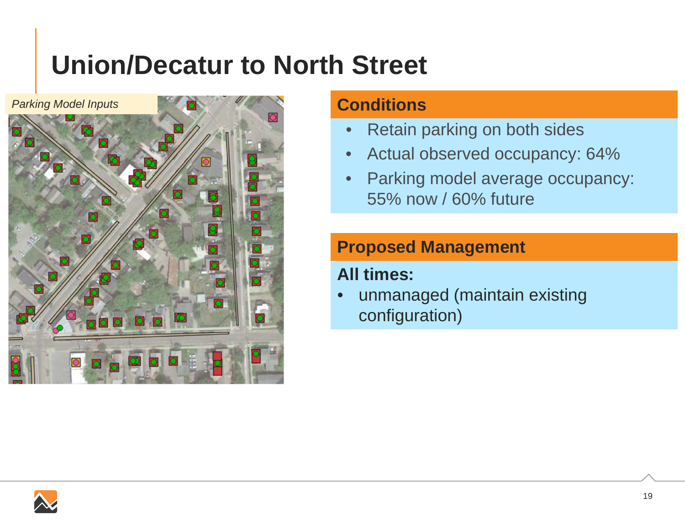## **Union/Decatur to North Street**



#### **Conditions**

- •Retain parking on both sides
- $\bullet$ Actual observed occupancy: 64%
- $\bullet$  Parking model average occupancy: 55% now / 60% future

### **Proposed Management**

### **All times:**

• unmanaged (maintain existing configuration)

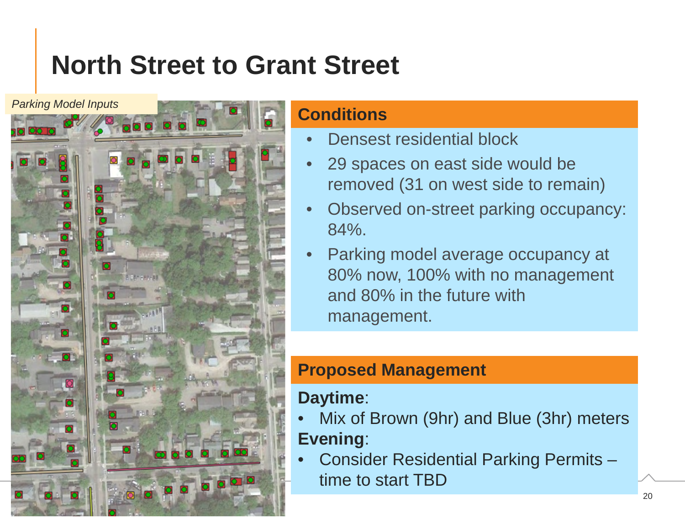## **North Street to Grant Street**



### **Conditions**

- •Densest residential block
- • 29 spaces on east side would be removed (31 on west side to remain)
- • Observed on-street parking occupancy: 84%.
- • Parking model average occupancy at 80% now, 100% with no management and 80% in the future with management.

### **Proposed Management**

### **Daytime**:

- • Mix of Brown (9hr) and Blue (3hr) meters **Evening**:
- • Consider Residential Parking Permits – time to start TBD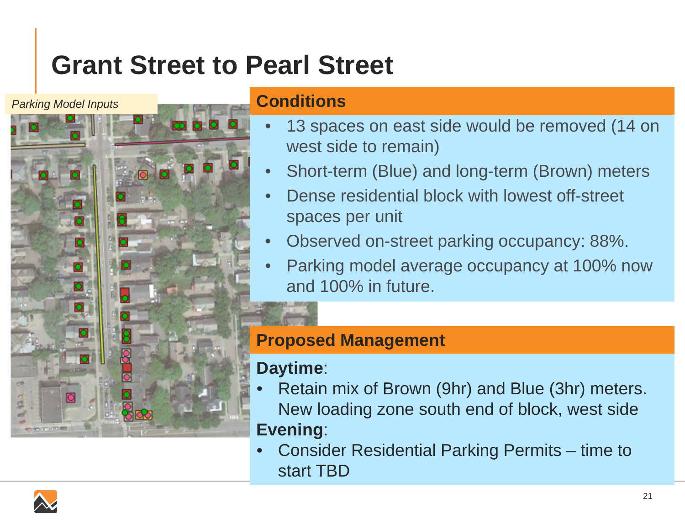### **Grant Street to Pearl Street**

*Parking Model Inputs*



#### **Conditions**

- • 13 spaces on east side would be removed (14 on west side to remain)
- •Short-term (Blue) and long-term (Brown) meters
- • Dense residential block with lowest off-street spaces per unit
- •Observed on-street parking occupancy: 88%.
- • Parking model average occupancy at 100% now and 100% in future.

### **Proposed Management**

### **Daytime**:

- • Retain mix of Brown (9hr) and Blue (3hr) meters. New loading zone south end of block, west side **Evening**:
- • Consider Residential Parking Permits – time to start TBD

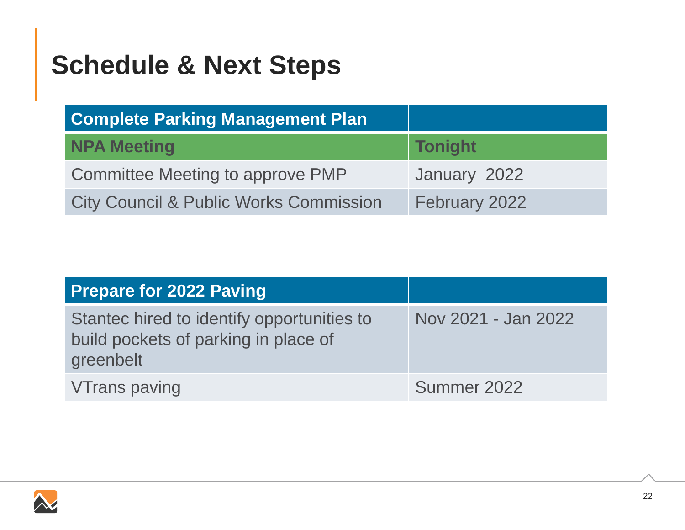## **Schedule & Next Steps**

| <b>Complete Parking Management Plan</b>           |                |
|---------------------------------------------------|----------------|
| NPA Meeting                                       | <b>Tonight</b> |
| Committee Meeting to approve PMP                  | January 2022   |
| <b>City Council &amp; Public Works Commission</b> | February 2022  |

| <b>Prepare for 2022 Paving</b>                                                                  |                     |
|-------------------------------------------------------------------------------------------------|---------------------|
| Stantec hired to identify opportunities to<br>build pockets of parking in place of<br>greenbelt | Nov 2021 - Jan 2022 |
| <b>VTrans paving</b>                                                                            | Summer 2022         |